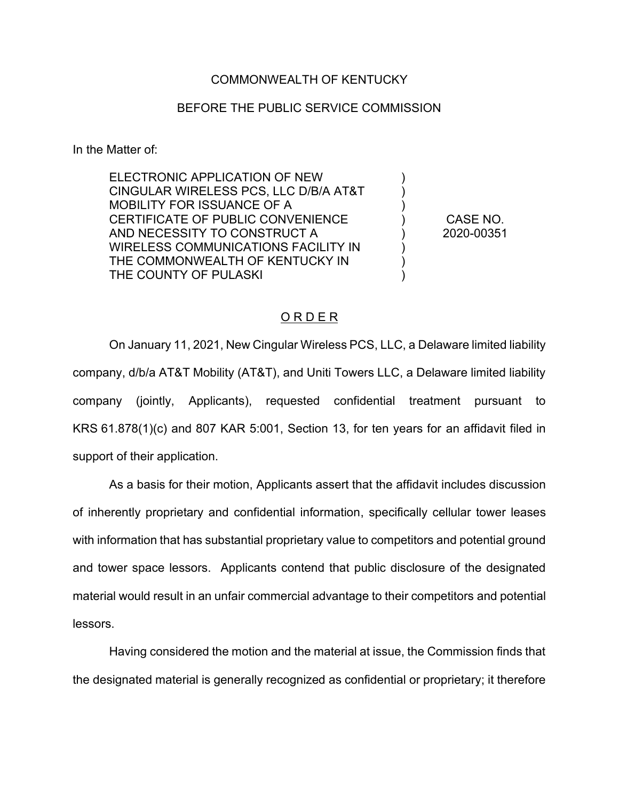## COMMONWEALTH OF KENTUCKY

## BEFORE THE PUBLIC SERVICE COMMISSION

In the Matter of:

ELECTRONIC APPLICATION OF NEW CINGULAR WIRELESS PCS, LLC D/B/A AT&T MOBILITY FOR ISSUANCE OF A CERTIFICATE OF PUBLIC CONVENIENCE AND NECESSITY TO CONSTRUCT A WIRELESS COMMUNICATIONS FACILITY IN THE COMMONWEALTH OF KENTUCKY IN THE COUNTY OF PULASKI

CASE NO. 2020-00351

) ) ) ) ) ) ) )

## O R D E R

On January 11, 2021, New Cingular Wireless PCS, LLC, a Delaware limited liability company, d/b/a AT&T Mobility (AT&T), and Uniti Towers LLC, a Delaware limited liability company (jointly, Applicants), requested confidential treatment pursuant to KRS 61.878(1)(c) and 807 KAR 5:001, Section 13, for ten years for an affidavit filed in support of their application.

As a basis for their motion, Applicants assert that the affidavit includes discussion of inherently proprietary and confidential information, specifically cellular tower leases with information that has substantial proprietary value to competitors and potential ground and tower space lessors. Applicants contend that public disclosure of the designated material would result in an unfair commercial advantage to their competitors and potential lessors.

Having considered the motion and the material at issue, the Commission finds that the designated material is generally recognized as confidential or proprietary; it therefore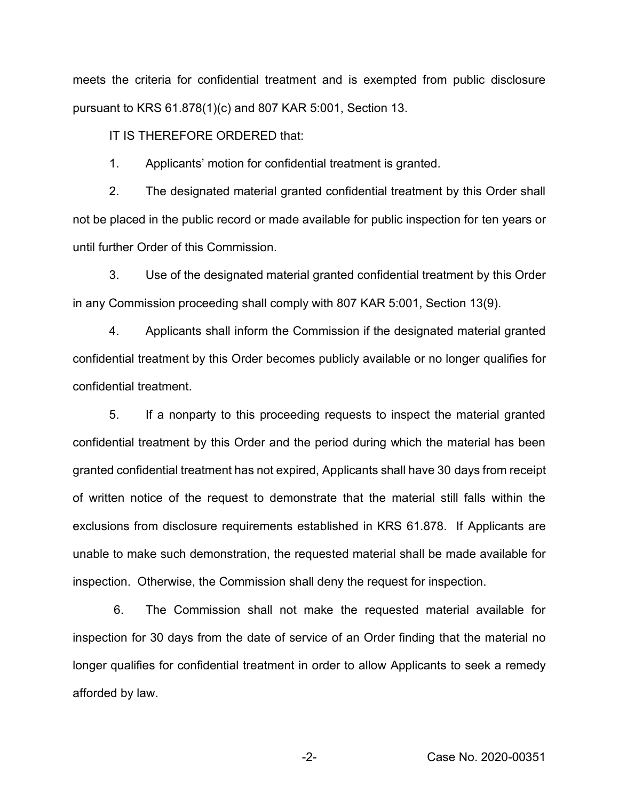meets the criteria for confidential treatment and is exempted from public disclosure pursuant to KRS 61.878(1)(c) and 807 KAR 5:001, Section 13.

IT IS THEREFORE ORDERED that:

1. Applicants' motion for confidential treatment is granted.

2. The designated material granted confidential treatment by this Order shall not be placed in the public record or made available for public inspection for ten years or until further Order of this Commission.

3. Use of the designated material granted confidential treatment by this Order in any Commission proceeding shall comply with 807 KAR 5:001, Section 13(9).

4. Applicants shall inform the Commission if the designated material granted confidential treatment by this Order becomes publicly available or no longer qualifies for confidential treatment.

5. If a nonparty to this proceeding requests to inspect the material granted confidential treatment by this Order and the period during which the material has been granted confidential treatment has not expired, Applicants shall have 30 days from receipt of written notice of the request to demonstrate that the material still falls within the exclusions from disclosure requirements established in KRS 61.878. If Applicants are unable to make such demonstration, the requested material shall be made available for inspection. Otherwise, the Commission shall deny the request for inspection.

6. The Commission shall not make the requested material available for inspection for 30 days from the date of service of an Order finding that the material no longer qualifies for confidential treatment in order to allow Applicants to seek a remedy afforded by law.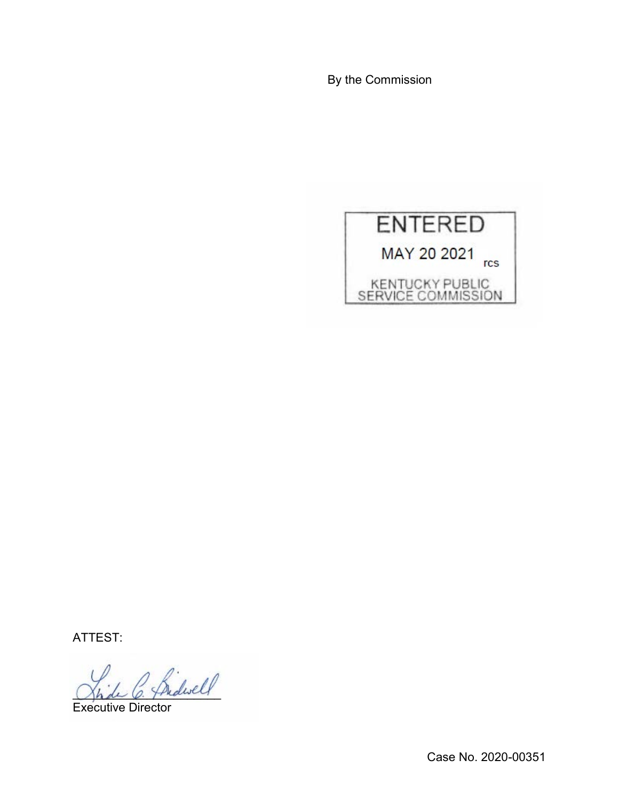By the Commission



ATTEST:

 $^{\prime}$  fridwell

Executive Director

Case No. 2020-00351